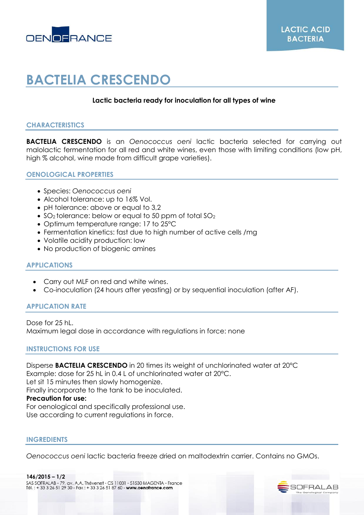

# **BACTELIA CRESCENDO**

## **Lactic bacteria ready for inoculation for all types of wine**

## **CHARACTERISTICS**

**BACTELIA CRESCENDO** is an *Oenococcus oeni* lactic bacteria selected for carrying out malolactic fermentation for all red and white wines, even those with limiting conditions (low pH, high % alcohol, wine made from difficult grape varieties).

#### **OENOLOGICAL PROPERTIES**

- Species: *Oenococcus oeni*
- Alcohol tolerance: up to 16% Vol.
- pH tolerance: above or equal to 3,2
- SO<sub>2</sub> tolerance: below or equal to 50 ppm of total  $SO_2$
- Optimum temperature range: 17 to 25°C
- Fermentation kinetics: fast due to high number of active cells /mg
- Volatile acidity production: low
- No production of biogenic amines

## **APPLICATIONS**

- Carry out MLF on red and white wines.
- Co-inoculation (24 hours after yeasting) or by sequential inoculation (after AF).

## **APPLICATION RATE**

Dose for 25 hL. Maximum legal dose in accordance with regulations in force: none

## **INSTRUCTIONS FOR USE**

Disperse **BACTELIA CRESCENDO** in 20 times its weight of unchlorinated water at 20°C Example: dose for 25 hL in 0.4 L of unchlorinated water at 20°C. Let sit 15 minutes then slowly homogenize. Finally incorporate to the tank to be inoculated. **Precaution for use:** For oenological and specifically professional use. Use according to current regulations in force.

#### **INGREDIENTS**

*Oenococcus oeni* lactic bacteria freeze dried on maltodextrin carrier. Contains no GMOs.